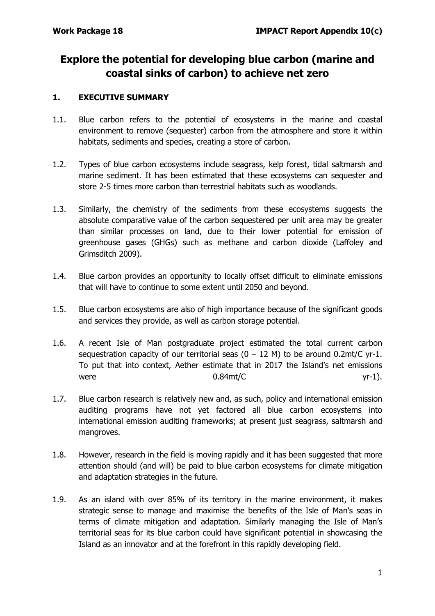# **Explore the potential for developing blue carbon (marine and coastal sinks of carbon) to achieve net zero**

## **1. EXECUTIVE SUMMARY**

- 1.1. Blue carbon refers to the potential of ecosystems in the marine and coastal environment to remove (sequester) carbon from the atmosphere and store it within habitats, sediments and species, creating a store of carbon.
- 1.2. Types of blue carbon ecosystems include seagrass, kelp forest, tidal saltmarsh and marine sediment. It has been estimated that these ecosystems can sequester and store 2-5 times more carbon than terrestrial habitats such as woodlands.
- 1.3. Similarly, the chemistry of the sediments from these ecosystems suggests the absolute comparative value of the carbon sequestered per unit area may be greater than similar processes on land, due to their lower potential for emission of greenhouse gases (GHGs) such as methane and carbon dioxide (Laffoley and Grimsditch 2009).
- 1.4. Blue carbon provides an opportunity to locally offset difficult to eliminate emissions that will have to continue to some extent until 2050 and beyond.
- 1.5. Blue carbon ecosystems are also of high importance because of the significant goods and services they provide, as well as carbon storage potential.
- 1.6. A recent Isle of Man postgraduate project estimated the total current carbon sequestration capacity of our territorial seas  $(0 - 12 \text{ M})$  to be around 0.2mt/C yr-1. To put that into context, Aether estimate that in 2017 the Island's net emissions were  $0.84$ mt/C  $yr-1$ ).
- 1.7. Blue carbon research is relatively new and, as such, policy and international emission auditing programs have not yet factored all blue carbon ecosystems into international emission auditing frameworks; at present just seagrass, saltmarsh and mangroves.
- 1.8. However, research in the field is moving rapidly and it has been suggested that more attention should (and will) be paid to blue carbon ecosystems for climate mitigation and adaptation strategies in the future.
- 1.9. As an island with over 85% of its territory in the marine environment, it makes strategic sense to manage and maximise the benefits of the Isle of Man's seas in terms of climate mitigation and adaptation. Similarly managing the Isle of Man's territorial seas for its blue carbon could have significant potential in showcasing the Island as an innovator and at the forefront in this rapidly developing field.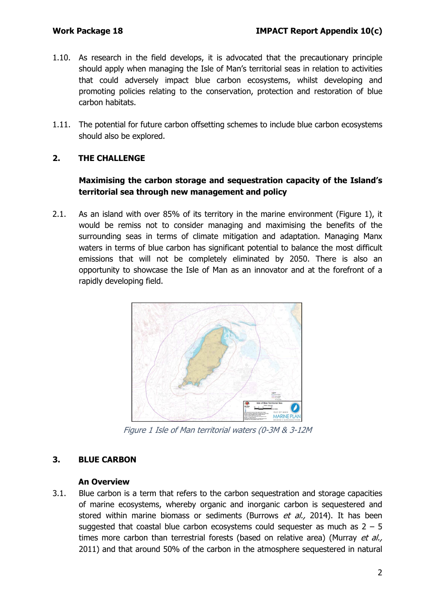- 1.10. As research in the field develops, it is advocated that the precautionary principle should apply when managing the Isle of Man's territorial seas in relation to activities that could adversely impact blue carbon ecosystems, whilst developing and promoting policies relating to the conservation, protection and restoration of blue carbon habitats.
- 1.11. The potential for future carbon offsetting schemes to include blue carbon ecosystems should also be explored.

## **2. THE CHALLENGE**

## **Maximising the carbon storage and sequestration capacity of the Island's territorial sea through new management and policy**

2.1. As an island with over 85% of its territory in the marine environment (Figure 1), it would be remiss not to consider managing and maximising the benefits of the surrounding seas in terms of climate mitigation and adaptation. Managing Manx waters in terms of blue carbon has significant potential to balance the most difficult emissions that will not be completely eliminated by 2050. There is also an opportunity to showcase the Isle of Man as an innovator and at the forefront of a rapidly developing field.



Figure 1 Isle of Man territorial waters (0-3M & 3-12M

## **3. BLUE CARBON**

## **An Overview**

3.1. Blue carbon is a term that refers to the carbon sequestration and storage capacities of marine ecosystems, whereby organic and inorganic carbon is sequestered and stored within marine biomass or sediments (Burrows et al., 2014). It has been suggested that coastal blue carbon ecosystems could sequester as much as  $2 - 5$ times more carbon than terrestrial forests (based on relative area) (Murray et al., 2011) and that around 50% of the carbon in the atmosphere sequestered in natural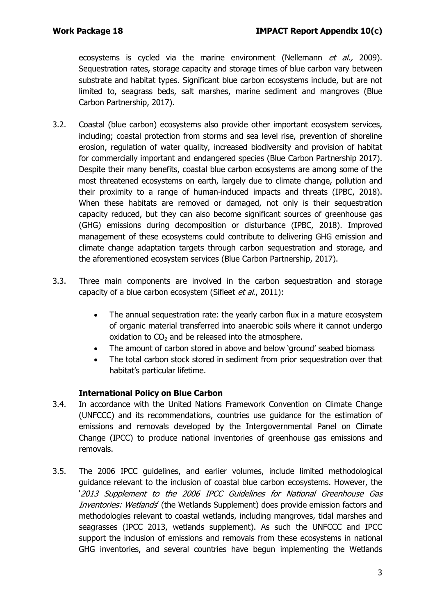ecosystems is cycled via the marine environment (Nellemann et al., 2009). Sequestration rates, storage capacity and storage times of blue carbon vary between substrate and habitat types. Significant blue carbon ecosystems include, but are not limited to, seagrass beds, salt marshes, marine sediment and mangroves (Blue Carbon Partnership, 2017).

- 3.2. Coastal (blue carbon) ecosystems also provide other important ecosystem services, including; coastal protection from storms and sea level rise, prevention of shoreline erosion, regulation of water quality, increased biodiversity and provision of habitat for commercially important and endangered species (Blue Carbon Partnership 2017). Despite their many benefits, coastal blue carbon ecosystems are among some of the most threatened ecosystems on earth, largely due to climate change, pollution and their proximity to a range of human-induced impacts and threats (IPBC, 2018). When these habitats are removed or damaged, not only is their sequestration capacity reduced, but they can also become significant sources of greenhouse gas (GHG) emissions during decomposition or disturbance (IPBC, 2018). Improved management of these ecosystems could contribute to delivering GHG emission and climate change adaptation targets through carbon sequestration and storage, and the aforementioned ecosystem services (Blue Carbon Partnership, 2017).
- 3.3. Three main components are involved in the carbon sequestration and storage capacity of a blue carbon ecosystem (Sifleet et al., 2011):
	- The annual sequestration rate: the yearly carbon flux in a mature ecosystem of organic material transferred into anaerobic soils where it cannot undergo oxidation to  $CO<sub>2</sub>$  and be released into the atmosphere.
	- The amount of carbon stored in above and below 'ground' seabed biomass
	- The total carbon stock stored in sediment from prior sequestration over that habitat's particular lifetime.

## **International Policy on Blue Carbon**

- 3.4. In accordance with the United Nations Framework Convention on Climate Change (UNFCCC) and its recommendations, countries use guidance for the estimation of emissions and removals developed by the Intergovernmental Panel on Climate Change (IPCC) to produce national inventories of greenhouse gas emissions and removals.
- 3.5. The 2006 IPCC guidelines, and earlier volumes, include limited methodological guidance relevant to the inclusion of coastal blue carbon ecosystems. However, the '2013 Supplement to the 2006 IPCC Guidelines for National Greenhouse Gas Inventories: Wetlands' (the Wetlands Supplement) does provide emission factors and methodologies relevant to coastal wetlands, including mangroves, tidal marshes and seagrasses (IPCC 2013, wetlands supplement). As such the UNFCCC and IPCC support the inclusion of emissions and removals from these ecosystems in national GHG inventories, and several countries have begun implementing the Wetlands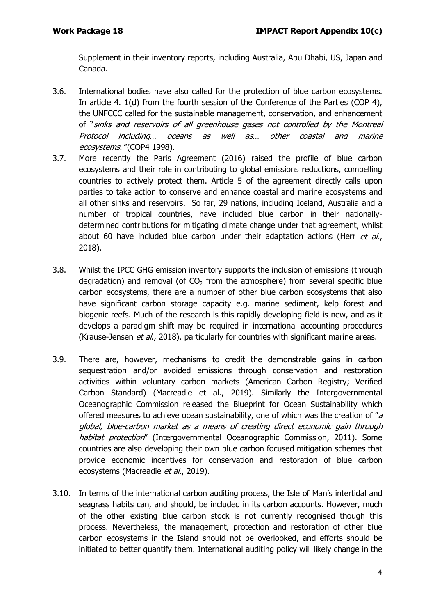Supplement in their inventory reports, including Australia, Abu Dhabi, US, Japan and Canada.

- 3.6. International bodies have also called for the protection of blue carbon ecosystems. In article 4. 1(d) from the fourth session of the Conference of the Parties (COP 4), the UNFCCC called for the sustainable management, conservation, and enhancement of "sinks and reservoirs of all greenhouse gases not controlled by the Montreal Protocol including… oceans as well as… other coastal and marine ecosystems.'"(COP4 1998).
- 3.7. More recently the Paris Agreement (2016) raised the profile of blue carbon ecosystems and their role in contributing to global emissions reductions, compelling countries to actively protect them. Article 5 of the agreement directly calls upon parties to take action to conserve and enhance coastal and marine ecosystems and all other sinks and reservoirs. So far, 29 nations, including Iceland, Australia and a number of tropical countries, have included blue carbon in their nationallydetermined contributions for mitigating climate change under that agreement, whilst about 60 have included blue carbon under their adaptation actions (Herr  $et$  al., 2018).
- 3.8. Whilst the IPCC GHG emission inventory supports the inclusion of emissions (through degradation) and removal (of  $CO<sub>2</sub>$  from the atmosphere) from several specific blue carbon ecosystems, there are a number of other blue carbon ecosystems that also have significant carbon storage capacity e.g. marine sediment, kelp forest and biogenic reefs. Much of the research is this rapidly developing field is new, and as it develops a paradigm shift may be required in international accounting procedures (Krause-Jensen et al., 2018), particularly for countries with significant marine areas.
- 3.9. There are, however, mechanisms to credit the demonstrable gains in carbon sequestration and/or avoided emissions through conservation and restoration activities within voluntary carbon markets (American Carbon Registry; Verified Carbon Standard) (Macreadie et al., 2019). Similarly the Intergovernmental Oceanographic Commission released the Blueprint for Ocean Sustainability which offered measures to achieve ocean sustainability, one of which was the creation of " $a$ global, blue-carbon market as a means of creating direct economic gain through habitat protection" (Intergovernmental Oceanographic Commission, 2011). Some countries are also developing their own blue carbon focused mitigation schemes that provide economic incentives for conservation and restoration of blue carbon ecosystems (Macreadie et al., 2019).
- 3.10. In terms of the international carbon auditing process, the Isle of Man's intertidal and seagrass habits can, and should, be included in its carbon accounts. However, much of the other existing blue carbon stock is not currently recognised though this process. Nevertheless, the management, protection and restoration of other blue carbon ecosystems in the Island should not be overlooked, and efforts should be initiated to better quantify them. International auditing policy will likely change in the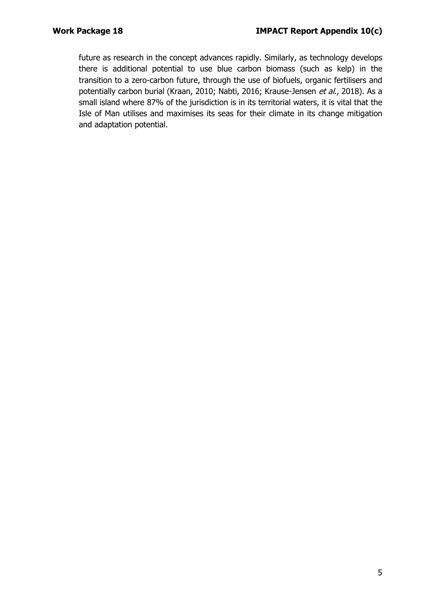future as research in the concept advances rapidly. Similarly, as technology develops there is additional potential to use blue carbon biomass (such as kelp) in the transition to a zero-carbon future, through the use of biofuels, organic fertilisers and potentially carbon burial (Kraan, 2010; Nabti, 2016; Krause-Jensen et al., 2018). As a small island where 87% of the jurisdiction is in its territorial waters, it is vital that the Isle of Man utilises and maximises its seas for their climate in its change mitigation and adaptation potential.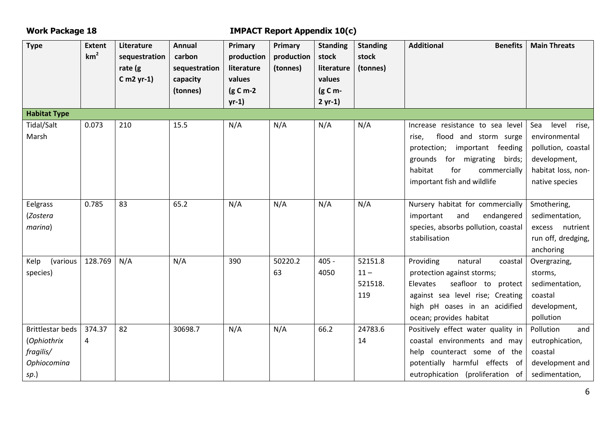## **Work Package 18 IMPACT Report Appendix 10(c)**

| <b>Type</b>         | <b>Extent</b>   | Literature    | <b>Annual</b> | Primary           | <b>Primary</b> | <b>Standing</b> | <b>Standing</b> | <b>Additional</b><br><b>Benefits</b> | <b>Main Threats</b> |
|---------------------|-----------------|---------------|---------------|-------------------|----------------|-----------------|-----------------|--------------------------------------|---------------------|
|                     | km <sup>2</sup> | sequestration | carbon        | production        | production     | stock           | stock           |                                      |                     |
|                     |                 | rate $(g)$    | sequestration | literature        | (tonnes)       | literature      | (tonnes)        |                                      |                     |
|                     |                 | C m2 $yr-1$ ) | capacity      | values            |                | values          |                 |                                      |                     |
|                     |                 |               | (tonnes)      | $(g \, C \, m-2)$ |                | $(g C m -$      |                 |                                      |                     |
|                     |                 |               |               | $yr-1)$           |                | $2 yr-1)$       |                 |                                      |                     |
| <b>Habitat Type</b> |                 |               |               |                   |                |                 |                 |                                      |                     |
| Tidal/Salt          | 0.073           | 210           | 15.5          | N/A               | N/A            | N/A             | N/A             | Increase resistance to sea level     | level rise,<br>Sea  |
| Marsh               |                 |               |               |                   |                |                 |                 | flood and storm surge<br>rise,       | environmental       |
|                     |                 |               |               |                   |                |                 |                 | protection; important feeding        | pollution, coastal  |
|                     |                 |               |               |                   |                |                 |                 | grounds for migrating<br>birds;      | development,        |
|                     |                 |               |               |                   |                |                 |                 | habitat<br>for<br>commercially       | habitat loss, non-  |
|                     |                 |               |               |                   |                |                 |                 | important fish and wildlife          | native species      |
|                     |                 |               |               |                   |                |                 |                 |                                      |                     |
| Eelgrass            | 0.785           | 83            | 65.2          | N/A               | N/A            | N/A             | N/A             | Nursery habitat for commercially     | Smothering,         |
| (Zostera            |                 |               |               |                   |                |                 |                 | and<br>endangered<br>important       | sedimentation,      |
| marina)             |                 |               |               |                   |                |                 |                 | species, absorbs pollution, coastal  | excess nutrient     |
|                     |                 |               |               |                   |                |                 |                 | stabilisation                        | run off, dredging,  |
|                     |                 |               |               |                   |                |                 |                 |                                      | anchoring           |
| Kelp<br>(various    | 128.769         | N/A           | N/A           | 390               | 50220.2        | $405 -$         | 52151.8         | Providing<br>natural<br>coastal      | Overgrazing,        |
| species)            |                 |               |               |                   | 63             | 4050            | $11 -$          | protection against storms;           | storms,             |
|                     |                 |               |               |                   |                |                 | 521518.         | seafloor to protect<br>Elevates      | sedimentation,      |
|                     |                 |               |               |                   |                |                 | 119             | against sea level rise; Creating     | coastal             |
|                     |                 |               |               |                   |                |                 |                 | high pH oases in an acidified        | development,        |
|                     |                 |               |               |                   |                |                 |                 | ocean; provides habitat              | pollution           |
| Brittlestar beds    | 374.37          | 82            | 30698.7       | N/A               | N/A            | 66.2            | 24783.6         | Positively effect water quality in   | Pollution<br>and    |
| (Ophiothrix         | 4               |               |               |                   |                |                 | 14              | coastal environments and may         | eutrophication,     |
| fragilis/           |                 |               |               |                   |                |                 |                 | help counteract some of the          | coastal             |
| Ophiocomina         |                 |               |               |                   |                |                 |                 | potentially harmful effects of       | development and     |
| sp.)                |                 |               |               |                   |                |                 |                 | eutrophication (proliferation of     | sedimentation,      |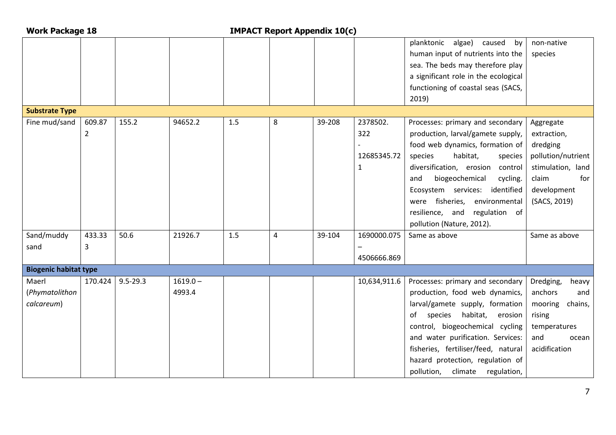| <b>Work Package 18</b>       |                |              | <b>IMPACT Report Appendix 10(c)</b> |     |   |        |              |                                      |                    |
|------------------------------|----------------|--------------|-------------------------------------|-----|---|--------|--------------|--------------------------------------|--------------------|
|                              |                |              |                                     |     |   |        |              | planktonic algae)<br>caused<br>by    | non-native         |
|                              |                |              |                                     |     |   |        |              | human input of nutrients into the    | species            |
|                              |                |              |                                     |     |   |        |              | sea. The beds may therefore play     |                    |
|                              |                |              |                                     |     |   |        |              | a significant role in the ecological |                    |
|                              |                |              |                                     |     |   |        |              | functioning of coastal seas (SACS,   |                    |
|                              |                |              |                                     |     |   |        |              | 2019)                                |                    |
| <b>Substrate Type</b>        |                |              |                                     |     |   |        |              |                                      |                    |
| Fine mud/sand                | 609.87         | 155.2        | 94652.2                             | 1.5 | 8 | 39-208 | 2378502.     | Processes: primary and secondary     | Aggregate          |
|                              | $\overline{2}$ |              |                                     |     |   |        | 322          | production, larval/gamete supply,    | extraction,        |
|                              |                |              |                                     |     |   |        |              | food web dynamics, formation of      | dredging           |
|                              |                |              |                                     |     |   |        | 12685345.72  | habitat,<br>species<br>species       | pollution/nutrient |
|                              |                |              |                                     |     |   |        | 1            | diversification, erosion<br>control  | stimulation, land  |
|                              |                |              |                                     |     |   |        |              | biogeochemical<br>and<br>cycling.    | claim<br>for       |
|                              |                |              |                                     |     |   |        |              | Ecosystem services:<br>identified    | development        |
|                              |                |              |                                     |     |   |        |              | were fisheries, environmental        | (SACS, 2019)       |
|                              |                |              |                                     |     |   |        |              | resilience, and regulation of        |                    |
|                              |                |              |                                     |     |   |        |              | pollution (Nature, 2012).            |                    |
| Sand/muddy                   | 433.33         | 50.6         | 21926.7                             | 1.5 | 4 | 39-104 | 1690000.075  | Same as above                        | Same as above      |
| sand                         | 3              |              |                                     |     |   |        |              |                                      |                    |
|                              |                |              |                                     |     |   |        | 4506666.869  |                                      |                    |
| <b>Biogenic habitat type</b> |                |              |                                     |     |   |        |              |                                      |                    |
| Maerl                        | 170.424        | $9.5 - 29.3$ | $1619.0 -$                          |     |   |        | 10,634,911.6 | Processes: primary and secondary     | Dredging,<br>heavy |
| (Phymatolithon               |                |              | 4993.4                              |     |   |        |              | production, food web dynamics,       | anchors<br>and     |
| calcareum)                   |                |              |                                     |     |   |        |              | larval/gamete supply, formation      | mooring<br>chains, |
|                              |                |              |                                     |     |   |        |              | of species habitat,<br>erosion       | rising             |
|                              |                |              |                                     |     |   |        |              | control, biogeochemical cycling      | temperatures       |
|                              |                |              |                                     |     |   |        |              | and water purification. Services:    | and<br>ocean       |
|                              |                |              |                                     |     |   |        |              | fisheries, fertiliser/feed, natural  | acidification      |
|                              |                |              |                                     |     |   |        |              | hazard protection, regulation of     |                    |
|                              |                |              |                                     |     |   |        |              | pollution, climate<br>regulation,    |                    |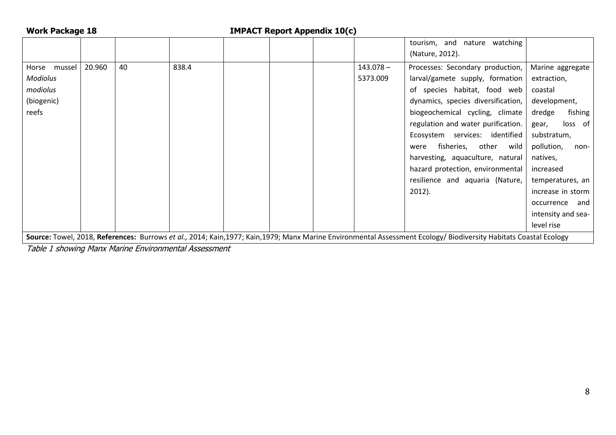| <b>Work Package 18</b>                                                                                                                                           |        |    |       |  | <b>IMPACT Report Appendix 10(c)</b> |  |                         |                                                                       |                                       |
|------------------------------------------------------------------------------------------------------------------------------------------------------------------|--------|----|-------|--|-------------------------------------|--|-------------------------|-----------------------------------------------------------------------|---------------------------------------|
|                                                                                                                                                                  |        |    |       |  |                                     |  |                         | tourism, and nature watching<br>(Nature, 2012).                       |                                       |
| Horse mussel<br><b>Modiolus</b>                                                                                                                                  | 20.960 | 40 | 838.4 |  |                                     |  | $143.078 -$<br>5373.009 | Processes: Secondary production,<br>larval/gamete supply, formation   | Marine aggregate<br>extraction,       |
| modiolus                                                                                                                                                         |        |    |       |  |                                     |  |                         | of species habitat, food web                                          | coastal                               |
| (biogenic)                                                                                                                                                       |        |    |       |  |                                     |  |                         | dynamics, species diversification,                                    | development,                          |
| reefs                                                                                                                                                            |        |    |       |  |                                     |  |                         | biogeochemical cycling, climate<br>regulation and water purification. | dredge<br>fishing<br>loss of<br>gear, |
|                                                                                                                                                                  |        |    |       |  |                                     |  |                         | Ecosystem services: identified                                        | substratum,                           |
|                                                                                                                                                                  |        |    |       |  |                                     |  |                         | fisheries, other<br>wild<br>were<br>harvesting, aquaculture, natural  | pollution,<br>non-<br>natives,        |
|                                                                                                                                                                  |        |    |       |  |                                     |  |                         | hazard protection, environmental                                      | increased                             |
|                                                                                                                                                                  |        |    |       |  |                                     |  |                         | resilience and aquaria (Nature,                                       | temperatures, an                      |
|                                                                                                                                                                  |        |    |       |  |                                     |  |                         | $2012$ ).                                                             | increase in storm                     |
|                                                                                                                                                                  |        |    |       |  |                                     |  |                         |                                                                       | occurrence<br>and                     |
|                                                                                                                                                                  |        |    |       |  |                                     |  |                         |                                                                       | intensity and sea-                    |
|                                                                                                                                                                  |        |    |       |  |                                     |  |                         |                                                                       | level rise                            |
| Source: Towel, 2018, References: Burrows et al., 2014; Kain,1977; Kain,1979; Manx Marine Environmental Assessment Ecology/ Biodiversity Habitats Coastal Ecology |        |    |       |  |                                     |  |                         |                                                                       |                                       |

Table 1 showing Manx Marine Environmental Assessment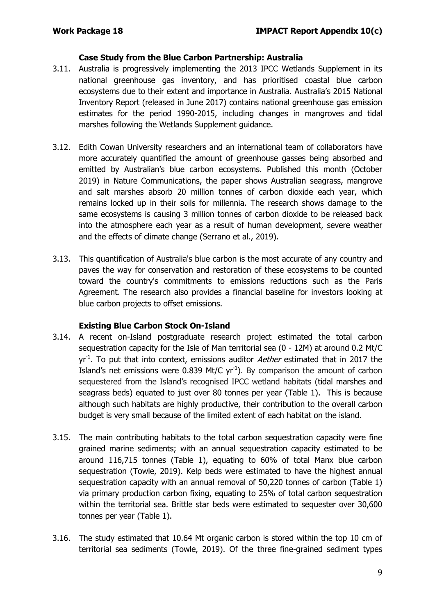## **Case Study from the Blue Carbon Partnership: Australia**

- 3.11. Australia is progressively implementing the 2013 IPCC Wetlands Supplement in its national greenhouse gas inventory, and has prioritised coastal blue carbon ecosystems due to their extent and importance in Australia. Australia's 2015 National Inventory Report (released in June 2017) contains national greenhouse gas emission estimates for the period 1990-2015, including changes in mangroves and tidal marshes following the Wetlands Supplement guidance.
- 3.12. Edith Cowan University researchers and an international team of collaborators have more accurately quantified the amount of greenhouse gasses being absorbed and emitted by Australian's blue carbon ecosystems. Published this month (October 2019) in Nature Communications, the paper shows Australian seagrass, mangrove and salt marshes absorb 20 million tonnes of carbon dioxide each year, which remains locked up in their soils for millennia. The research shows damage to the same ecosystems is causing 3 million tonnes of carbon dioxide to be released back into the atmosphere each year as a result of human development, severe weather and the effects of climate change (Serrano et al., 2019).
- 3.13. This quantification of Australia's blue carbon is the most accurate of any country and paves the way for conservation and restoration of these ecosystems to be counted toward the country's commitments to emissions reductions such as the Paris Agreement. The research also provides a financial baseline for investors looking at blue carbon projects to offset emissions.

## **Existing Blue Carbon Stock On-Island**

- 3.14. A recent on-Island postgraduate research project estimated the total carbon sequestration capacity for the Isle of Man territorial sea (0 - 12M) at around 0.2 Mt/C yr<sup>-1</sup>. To put that into context, emissions auditor *Aether* estimated that in 2017 the Island's net emissions were 0.839 Mt/C  $yr^{-1}$ ). By comparison the amount of carbon sequestered from the Island's recognised IPCC wetland habitats (tidal marshes and seagrass beds) equated to just over 80 tonnes per year (Table 1). This is because although such habitats are highly productive, their contribution to the overall carbon budget is very small because of the limited extent of each habitat on the island.
- 3.15. The main contributing habitats to the total carbon sequestration capacity were fine grained marine sediments; with an annual sequestration capacity estimated to be around 116,715 tonnes (Table 1), equating to 60% of total Manx blue carbon sequestration (Towle, 2019). Kelp beds were estimated to have the highest annual sequestration capacity with an annual removal of 50,220 tonnes of carbon (Table 1) via primary production carbon fixing, equating to 25% of total carbon sequestration within the territorial sea. Brittle star beds were estimated to sequester over 30,600 tonnes per year (Table 1).
- 3.16. The study estimated that 10.64 Mt organic carbon is stored within the top 10 cm of territorial sea sediments (Towle, 2019). Of the three fine-grained sediment types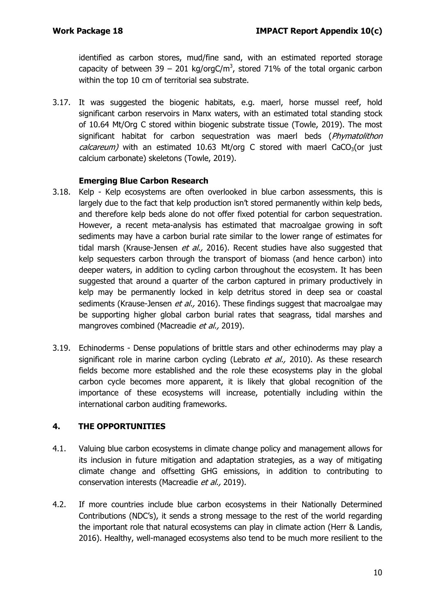identified as carbon stores, mud/fine sand, with an estimated reported storage capacity of between 39 – 201 kg/orgC/m<sup>3</sup>, stored 71% of the total organic carbon within the top 10 cm of territorial sea substrate.

3.17. It was suggested the biogenic habitats, e.g. maerl, horse mussel reef, hold significant carbon reservoirs in Manx waters, with an estimated total standing stock of 10.64 Mt/Org C stored within biogenic substrate tissue (Towle, 2019). The most significant habitat for carbon sequestration was maerl beds (Phymatolithon *calcareum*) with an estimated 10.63 Mt/org C stored with maerl CaCO<sub>3</sub>(or just calcium carbonate) skeletons (Towle, 2019).

## **Emerging Blue Carbon Research**

- 3.18. Kelp Kelp ecosystems are often overlooked in blue carbon assessments, this is largely due to the fact that kelp production isn't stored permanently within kelp beds, and therefore kelp beds alone do not offer fixed potential for carbon sequestration. However, a recent meta-analysis has estimated that macroalgae growing in soft sediments may have a carbon burial rate similar to the lower range of estimates for tidal marsh (Krause-Jensen *et al.*, 2016). Recent studies have also suggested that kelp sequesters carbon through the transport of biomass (and hence carbon) into deeper waters, in addition to cycling carbon throughout the ecosystem. It has been suggested that around a quarter of the carbon captured in primary productively in kelp may be permanently locked in kelp detritus stored in deep sea or coastal sediments (Krause-Jensen et al., 2016). These findings suggest that macroalgae may be supporting higher global carbon burial rates that seagrass, tidal marshes and mangroves combined (Macreadie et al., 2019).
- 3.19. Echinoderms Dense populations of brittle stars and other echinoderms may play a significant role in marine carbon cycling (Lebrato *et al.*, 2010). As these research fields become more established and the role these ecosystems play in the global carbon cycle becomes more apparent, it is likely that global recognition of the importance of these ecosystems will increase, potentially including within the international carbon auditing frameworks.

## **4. THE OPPORTUNITIES**

- 4.1. Valuing blue carbon ecosystems in climate change policy and management allows for its inclusion in future mitigation and adaptation strategies, as a way of mitigating climate change and offsetting GHG emissions, in addition to contributing to conservation interests (Macreadie et al., 2019).
- 4.2. If more countries include blue carbon ecosystems in their Nationally Determined Contributions (NDC's), it sends a strong message to the rest of the world regarding the important role that natural ecosystems can play in climate action (Herr & Landis, 2016). Healthy, well-managed ecosystems also tend to be much more resilient to the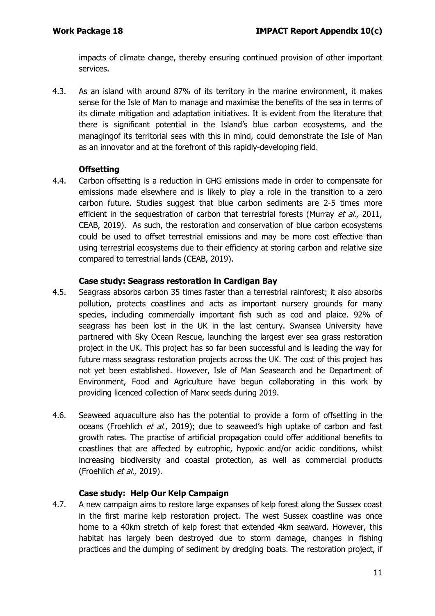impacts of climate change, thereby ensuring continued provision of other important services.

4.3. As an island with around 87% of its territory in the marine environment, it makes sense for the Isle of Man to manage and maximise the benefits of the sea in terms of its climate mitigation and adaptation initiatives. It is evident from the literature that there is significant potential in the Island's blue carbon ecosystems, and the managingof its territorial seas with this in mind, could demonstrate the Isle of Man as an innovator and at the forefront of this rapidly-developing field.

## **Offsetting**

4.4. Carbon offsetting is a reduction in GHG emissions made in order to compensate for emissions made elsewhere and is likely to play a role in the transition to a zero carbon future. Studies suggest that blue carbon sediments are 2-5 times more efficient in the sequestration of carbon that terrestrial forests (Murray et al., 2011, CEAB, 2019). As such, the restoration and conservation of blue carbon ecosystems could be used to offset terrestrial emissions and may be more cost effective than using terrestrial ecosystems due to their efficiency at storing carbon and relative size compared to terrestrial lands (CEAB, 2019).

## **Case study: Seagrass restoration in Cardigan Bay**

- 4.5. Seagrass absorbs carbon 35 times faster than a terrestrial rainforest; it also absorbs pollution, protects coastlines and acts as important nursery grounds for many species, including commercially important fish such as cod and plaice. 92% of seagrass has been lost in the UK in the last century. Swansea University have partnered with Sky Ocean Rescue, launching the largest ever sea grass restoration project in the UK. This project has so far been successful and is leading the way for future mass seagrass restoration projects across the UK. The cost of this project has not yet been established. However, Isle of Man Seasearch and he Department of Environment, Food and Agriculture have begun collaborating in this work by providing licenced collection of Manx seeds during 2019.
- 4.6. Seaweed aquaculture also has the potential to provide a form of offsetting in the oceans (Froehlich et al., 2019); due to seaweed's high uptake of carbon and fast growth rates. The practise of artificial propagation could offer additional benefits to coastlines that are affected by eutrophic, hypoxic and/or acidic conditions, whilst increasing biodiversity and coastal protection, as well as commercial products (Froehlich *et al.*, 2019).

## **Case study: Help Our Kelp Campaign**

4.7. A new campaign aims to restore large expanses of kelp forest along the Sussex coast in the first marine kelp restoration project. The west Sussex coastline was once home to a 40km stretch of kelp forest that extended 4km seaward. However, this habitat has largely been destroyed due to storm damage, changes in fishing practices and the dumping of sediment by dredging boats. The restoration project, if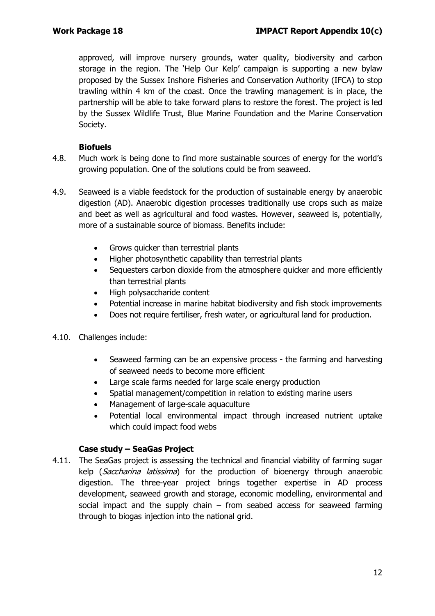approved, will improve nursery grounds, water quality, biodiversity and carbon storage in the region. The 'Help Our Kelp' campaign is supporting a new bylaw proposed by the Sussex Inshore Fisheries and Conservation Authority (IFCA) to stop trawling within 4 km of the coast. Once the trawling management is in place, the partnership will be able to take forward plans to restore the forest. The project is led by the Sussex Wildlife Trust, Blue Marine Foundation and the Marine Conservation Society.

## **Biofuels**

- 4.8. Much work is being done to find more sustainable sources of energy for the world's growing population. One of the solutions could be from seaweed.
- 4.9. Seaweed is a viable feedstock for the production of sustainable energy by anaerobic digestion (AD). Anaerobic digestion processes traditionally use crops such as maize and beet as well as agricultural and food wastes. However, seaweed is, potentially, more of a sustainable source of biomass. Benefits include:
	- Grows quicker than terrestrial plants
	- Higher photosynthetic capability than terrestrial plants
	- Sequesters carbon dioxide from the atmosphere quicker and more efficiently than terrestrial plants
	- High polysaccharide content
	- Potential increase in marine habitat biodiversity and fish stock improvements
	- Does not require fertiliser, fresh water, or agricultural land for production.

## 4.10. Challenges include:

- Seaweed farming can be an expensive process the farming and harvesting of seaweed needs to become more efficient
- Large scale farms needed for large scale energy production
- Spatial management/competition in relation to existing marine users
- Management of large-scale aquaculture
- Potential local environmental impact through increased nutrient uptake which could impact food webs

## **Case study – SeaGas Project**

4.11. The SeaGas project is assessing the technical and financial viability of farming sugar kelp (*Saccharina latissima*) for the production of bioenergy through anaerobic digestion. The three-year project brings together expertise in AD process development, seaweed growth and storage, economic modelling, environmental and social impact and the supply chain  $-$  from seabed access for seaweed farming through to biogas injection into the national grid.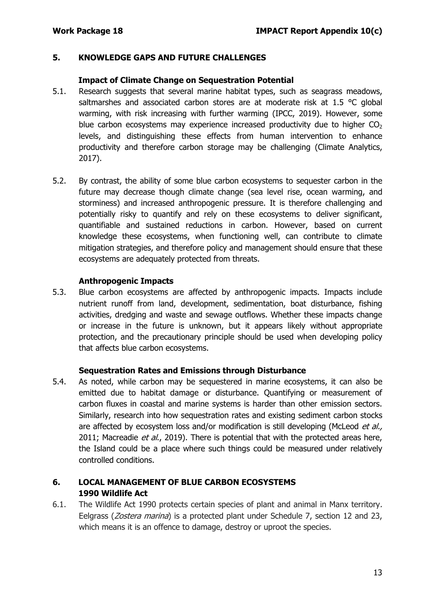#### **5. KNOWLEDGE GAPS AND FUTURE CHALLENGES**

#### **Impact of Climate Change on Sequestration Potential**

- 5.1. Research suggests that several marine habitat types, such as seagrass meadows, saltmarshes and associated carbon stores are at moderate risk at 1.5 °C global warming, with risk increasing with further warming (IPCC, 2019). However, some blue carbon ecosystems may experience increased productivity due to higher  $CO<sub>2</sub>$ levels, and distinguishing these effects from human intervention to enhance productivity and therefore carbon storage may be challenging (Climate Analytics, 2017).
- 5.2. By contrast, the ability of some blue carbon ecosystems to sequester carbon in the future may decrease though climate change (sea level rise, ocean warming, and storminess) and increased anthropogenic pressure. It is therefore challenging and potentially risky to quantify and rely on these ecosystems to deliver significant, quantifiable and sustained reductions in carbon. However, based on current knowledge these ecosystems, when functioning well, can contribute to climate mitigation strategies, and therefore policy and management should ensure that these ecosystems are adequately protected from threats.

#### **Anthropogenic Impacts**

5.3. Blue carbon ecosystems are affected by anthropogenic impacts. Impacts include nutrient runoff from land, development, sedimentation, boat disturbance, fishing activities, dredging and waste and sewage outflows. Whether these impacts change or increase in the future is unknown, but it appears likely without appropriate protection, and the precautionary principle should be used when developing policy that affects blue carbon ecosystems.

#### **Sequestration Rates and Emissions through Disturbance**

5.4. As noted, while carbon may be sequestered in marine ecosystems, it can also be emitted due to habitat damage or disturbance. Quantifying or measurement of carbon fluxes in coastal and marine systems is harder than other emission sectors. Similarly, research into how sequestration rates and existing sediment carbon stocks are affected by ecosystem loss and/or modification is still developing (McLeod et al., 2011; Macreadie *et al.*, 2019). There is potential that with the protected areas here, the Island could be a place where such things could be measured under relatively controlled conditions.

## **6. LOCAL MANAGEMENT OF BLUE CARBON ECOSYSTEMS 1990 Wildlife Act**

6.1. The Wildlife Act 1990 protects certain species of plant and animal in Manx territory. Eelgrass (*Zostera marina*) is a protected plant under Schedule 7, section 12 and 23, which means it is an offence to damage, destroy or uproot the species.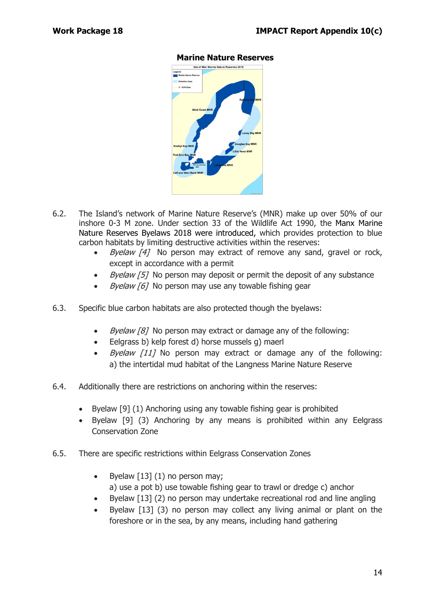

## **Marine Nature Reserves**

- 6.2. The Island's network of Marine Nature Reserve's (MNR) make up over 50% of our inshore 0-3 M zone. Under section 33 of the Wildlife Act 1990, the Manx Marine Nature Reserves Byelaws 2018 were introduced, which provides protection to blue carbon habitats by limiting destructive activities within the reserves:
	- Byelaw [4] No person may extract of remove any sand, gravel or rock, except in accordance with a permit
	- *Byelaw [5]* No person may deposit or permit the deposit of any substance
	- Byelaw [6] No person may use any towable fishing gear
- 6.3. Specific blue carbon habitats are also protected though the byelaws:
	- *Byelaw [8]* No person may extract or damage any of the following:
	- Eelgrass b) kelp forest d) horse mussels g) maerl
	- Byelaw [11] No person may extract or damage any of the following: a) the intertidal mud habitat of the Langness Marine Nature Reserve
- 6.4. Additionally there are restrictions on anchoring within the reserves:
	- Byelaw [9] (1) Anchoring using any towable fishing gear is prohibited
	- Byelaw [9] (3) Anchoring by any means is prohibited within any Eelgrass Conservation Zone
- 6.5. There are specific restrictions within Eelgrass Conservation Zones
	- Byelaw  $[13]$  (1) no person may; a) use a pot b) use towable fishing gear to trawl or dredge c) anchor
	- Byelaw [13] (2) no person may undertake recreational rod and line angling
	- Byelaw [13] (3) no person may collect any living animal or plant on the foreshore or in the sea, by any means, including hand gathering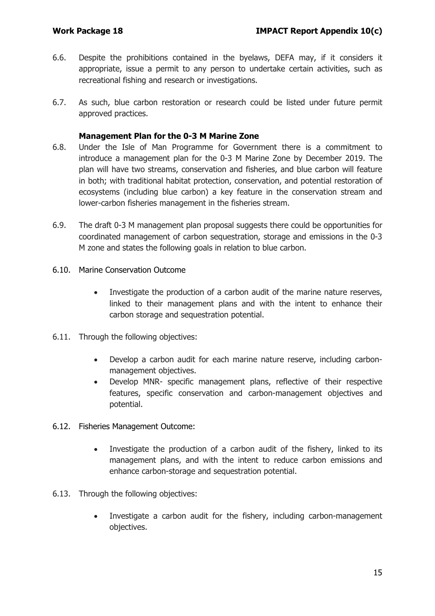- 6.6. Despite the prohibitions contained in the byelaws, DEFA may, if it considers it appropriate, issue a permit to any person to undertake certain activities, such as recreational fishing and research or investigations.
- 6.7. As such, blue carbon restoration or research could be listed under future permit approved practices.

#### **Management Plan for the 0-3 M Marine Zone**

- 6.8. Under the Isle of Man Programme for Government there is a commitment to introduce a management plan for the 0-3 M Marine Zone by December 2019. The plan will have two streams, conservation and fisheries, and blue carbon will feature in both; with traditional habitat protection, conservation, and potential restoration of ecosystems (including blue carbon) a key feature in the conservation stream and lower-carbon fisheries management in the fisheries stream.
- 6.9. The draft 0-3 M management plan proposal suggests there could be opportunities for coordinated management of carbon sequestration, storage and emissions in the 0-3 M zone and states the following goals in relation to blue carbon.
- 6.10. Marine Conservation Outcome
	- Investigate the production of a carbon audit of the marine nature reserves, linked to their management plans and with the intent to enhance their carbon storage and sequestration potential.
- 6.11. Through the following objectives:
	- Develop a carbon audit for each marine nature reserve, including carbonmanagement objectives.
	- Develop MNR- specific management plans, reflective of their respective features, specific conservation and carbon-management objectives and potential.
- 6.12. Fisheries Management Outcome:
	- Investigate the production of a carbon audit of the fishery, linked to its management plans, and with the intent to reduce carbon emissions and enhance carbon-storage and sequestration potential.
- 6.13. Through the following objectives:
	- Investigate a carbon audit for the fishery, including carbon-management objectives.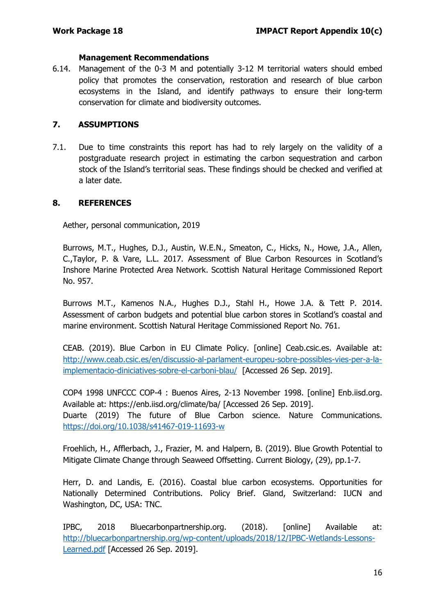#### **Management Recommendations**

6.14. Management of the 0-3 M and potentially 3-12 M territorial waters should embed policy that promotes the conservation, restoration and research of blue carbon ecosystems in the Island, and identify pathways to ensure their long-term conservation for climate and biodiversity outcomes.

## **7. ASSUMPTIONS**

7.1. Due to time constraints this report has had to rely largely on the validity of a postgraduate research project in estimating the carbon sequestration and carbon stock of the Island's territorial seas. These findings should be checked and verified at a later date.

## **8. REFERENCES**

Aether, personal communication, 2019

Burrows, M.T., Hughes, D.J., Austin, W.E.N., Smeaton, C., Hicks, N., Howe, J.A., Allen, C.,Taylor, P. & Vare, L.L. 2017. Assessment of Blue Carbon Resources in Scotland's Inshore Marine Protected Area Network. Scottish Natural Heritage Commissioned Report No. 957.

Burrows M.T., Kamenos N.A., Hughes D.J., Stahl H., Howe J.A. & Tett P. 2014. Assessment of carbon budgets and potential blue carbon stores in Scotland's coastal and marine environment. Scottish Natural Heritage Commissioned Report No. 761.

CEAB. (2019). Blue Carbon in EU Climate Policy. [online] Ceab.csic.es. Available at: [http://www.ceab.csic.es/en/discussio-al-parlament-europeu-sobre-possibles-vies-per-a-la](http://www.ceab.csic.es/en/discussio-al-parlament-europeu-sobre-possibles-vies-per-a-la-implementacio-diniciatives-sobre-el-carboni-blau/)[implementacio-diniciatives-sobre-el-carboni-blau/](http://www.ceab.csic.es/en/discussio-al-parlament-europeu-sobre-possibles-vies-per-a-la-implementacio-diniciatives-sobre-el-carboni-blau/) [Accessed 26 Sep. 2019].

COP4 1998 UNFCCC COP-4 : Buenos Aires, 2-13 November 1998. [online] Enb.iisd.org. Available at: https://enb.iisd.org/climate/ba/ [Accessed 26 Sep. 2019]. Duarte (2019) The future of Blue Carbon science. Nature Communications. <https://doi.org/10.1038/s41467-019-11693-w>

Froehlich, H., Afflerbach, J., Frazier, M. and Halpern, B. (2019). Blue Growth Potential to Mitigate Climate Change through Seaweed Offsetting. Current Biology, (29), pp.1-7.

Herr, D. and Landis, E. (2016). Coastal blue carbon ecosystems. Opportunities for Nationally Determined Contributions. Policy Brief. Gland, Switzerland: IUCN and Washington, DC, USA: TNC.

IPBC, 2018 Bluecarbonpartnership.org. (2018). [online] Available at: [http://bluecarbonpartnership.org/wp-content/uploads/2018/12/IPBC-Wetlands-Lessons-](http://bluecarbonpartnership.org/wp-content/uploads/2018/12/IPBC-Wetlands-Lessons-Learned.pdf)[Learned.pdf](http://bluecarbonpartnership.org/wp-content/uploads/2018/12/IPBC-Wetlands-Lessons-Learned.pdf) [Accessed 26 Sep. 2019].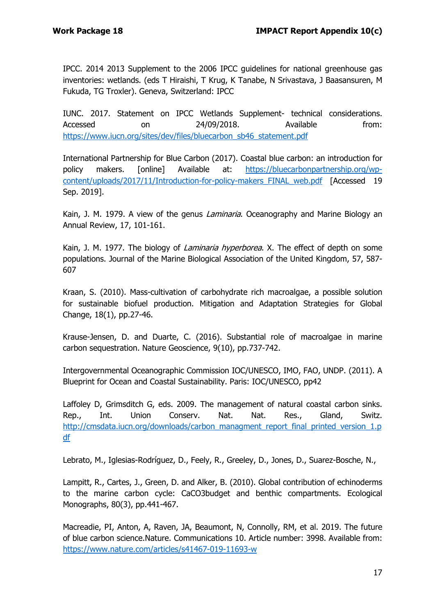IPCC. 2014 2013 Supplement to the 2006 IPCC guidelines for national greenhouse gas inventories: wetlands. (eds T Hiraishi, T Krug, K Tanabe, N Srivastava, J Baasansuren, M Fukuda, TG Troxler). Geneva, Switzerland: IPCC

IUNC. 2017. Statement on IPCC Wetlands Supplement- technical considerations. Accessed on 24/09/2018. Available from: [https://www.iucn.org/sites/dev/files/bluecarbon\\_sb46\\_statement.pdf](https://www.iucn.org/sites/dev/files/bluecarbon_sb46_statement.pdf)

International Partnership for Blue Carbon (2017). Coastal blue carbon: an introduction for policy makers. [online] Available at: [https://bluecarbonpartnership.org/wp](https://bluecarbonpartnership.org/wp-content/uploads/2017/11/Introduction-for-policy-makers_FINAL_web.pdf)[content/uploads/2017/11/Introduction-for-policy-makers\\_FINAL\\_web.pdf](https://bluecarbonpartnership.org/wp-content/uploads/2017/11/Introduction-for-policy-makers_FINAL_web.pdf) [Accessed 19 Sep. 2019].

Kain, J. M. 1979. A view of the genus *Laminaria*. Oceanography and Marine Biology an Annual Review, 17, 101-161.

Kain, J. M. 1977. The biology of *Laminaria hyperborea*. X. The effect of depth on some populations. Journal of the Marine Biological Association of the United Kingdom, 57, 587- 607

Kraan, S. (2010). Mass-cultivation of carbohydrate rich macroalgae, a possible solution for sustainable biofuel production. Mitigation and Adaptation Strategies for Global Change, 18(1), pp.27-46.

Krause-Jensen, D. and Duarte, C. (2016). Substantial role of macroalgae in marine carbon sequestration. Nature Geoscience, 9(10), pp.737-742.

Intergovernmental Oceanographic Commission IOC/UNESCO, IMO, FAO, UNDP. (2011). A Blueprint for Ocean and Coastal Sustainability. Paris: IOC/UNESCO, pp42

Laffoley D, Grimsditch G, eds. 2009. The management of natural coastal carbon sinks. Rep., Int. Union Conserv. Nat. Nat. Res., Gland, Switz. [http://cmsdata.iucn.org/downloads/carbon\\_managment\\_report\\_final\\_printed\\_version\\_1.p](http://cmsdata.iucn.org/downloads/carbon_managment_report_final_printed_version_1.pdf) [df](http://cmsdata.iucn.org/downloads/carbon_managment_report_final_printed_version_1.pdf) 

Lebrato, M., Iglesias-Rodríguez, D., Feely, R., Greeley, D., Jones, D., Suarez-Bosche, N.,

Lampitt, R., Cartes, J., Green, D. and Alker, B. (2010). Global contribution of echinoderms to the marine carbon cycle: CaCO3budget and benthic compartments. Ecological Monographs, 80(3), pp.441-467.

Macreadie, PI, Anton, A, Raven, JA, Beaumont, N, Connolly, RM, et al. 2019. The future of blue carbon science.Nature. Communications 10. Article number: 3998. Available from: <https://www.nature.com/articles/s41467-019-11693-w>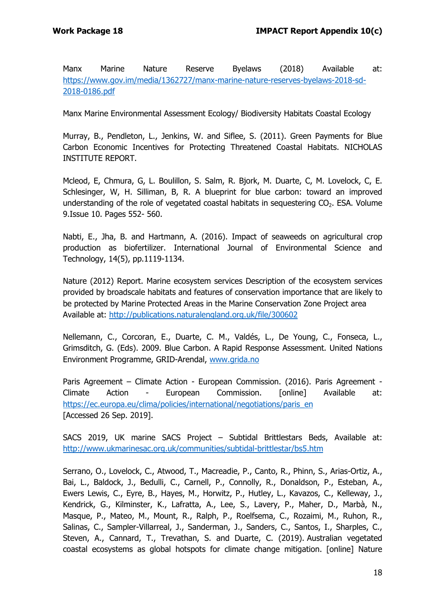Manx Marine Nature Reserve Byelaws (2018) Available at: [https://www.gov.im/media/1362727/manx-marine-nature-reserves-byelaws-2018-sd-](https://www.gov.im/media/1362727/manx-marine-nature-reserves-byelaws-2018-sd-2018-0186.pdf)[2018-0186.pdf](https://www.gov.im/media/1362727/manx-marine-nature-reserves-byelaws-2018-sd-2018-0186.pdf)

Manx Marine Environmental Assessment Ecology/ Biodiversity Habitats Coastal Ecology

Murray, B., Pendleton, L., Jenkins, W. and Siflee, S. (2011). Green Payments for Blue Carbon Economic Incentives for Protecting Threatened Coastal Habitats. NICHOLAS INSTITUTE REPORT.

Mcleod, E, Chmura, G, L. Boulillon, S. Salm, R. Bjork, M. Duarte, C, M. Lovelock, C, E. Schlesinger, W, H. Silliman, B, R. A blueprint for blue carbon: toward an improved understanding of the role of vegetated coastal habitats in sequestering  $CO<sub>2</sub>$ . ESA. Volume 9.Issue 10. Pages 552- 560.

Nabti, E., Jha, B. and Hartmann, A. (2016). Impact of seaweeds on agricultural crop production as biofertilizer. International Journal of Environmental Science and Technology, 14(5), pp.1119-1134.

Nature (2012) Report. Marine ecosystem services Description of the ecosystem services provided by broadscale habitats and features of conservation importance that are likely to be protected by Marine Protected Areas in the Marine Conservation Zone Project area Available at:<http://publications.naturalengland.org.uk/file/300602>

Nellemann, C., Corcoran, E., Duarte, C. M., Valdés, L., De Young, C., Fonseca, L., Grimsditch, G. (Eds). 2009. Blue Carbon. A Rapid Response Assessment. United Nations Environment Programme, GRID-Arendal, [www.grida.no](http://www.grida.no/)

Paris Agreement – Climate Action - European Commission. (2016). Paris Agreement - Climate Action - European Commission. [online] Available at: [https://ec.europa.eu/clima/policies/international/negotiations/paris\\_en](https://ec.europa.eu/clima/policies/international/negotiations/paris_en) [Accessed 26 Sep. 2019].

SACS 2019, UK marine SACS Project – Subtidal Brittlestars Beds, Available at: <http://www.ukmarinesac.org.uk/communities/subtidal-brittlestar/bs5.htm>

Serrano, O., Lovelock, C., Atwood, T., Macreadie, P., Canto, R., Phinn, S., Arias-Ortiz, A., Bai, L., Baldock, J., Bedulli, C., Carnell, P., Connolly, R., Donaldson, P., Esteban, A., Ewers Lewis, C., Eyre, B., Hayes, M., Horwitz, P., Hutley, L., Kavazos, C., Kelleway, J., Kendrick, G., Kilminster, K., Lafratta, A., Lee, S., Lavery, P., Maher, D., Marbà, N., Masque, P., Mateo, M., Mount, R., Ralph, P., Roelfsema, C., Rozaimi, M., Ruhon, R., Salinas, C., Sampler-Villarreal, J., Sanderman, J., Sanders, C., Santos, I., Sharples, C., Steven, A., Cannard, T., Trevathan, S. and Duarte, C. (2019). Australian vegetated coastal ecosystems as global hotspots for climate change mitigation. [online] Nature